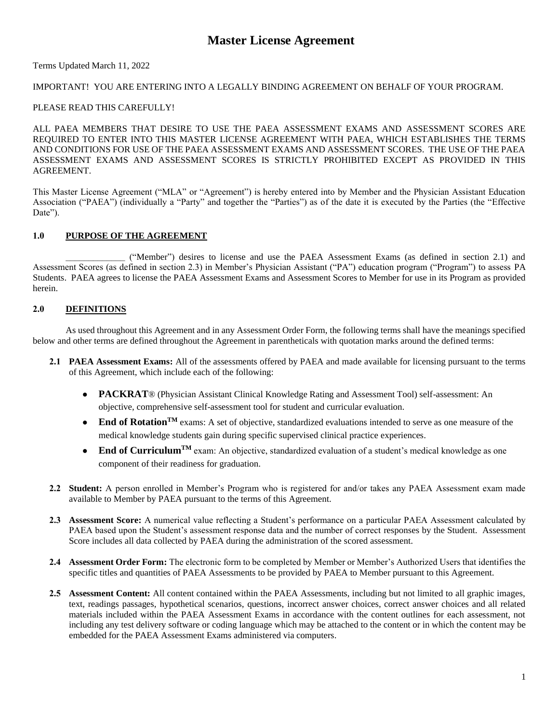# **Master License Agreement**

### Terms Updated March 11, 2022

# IMPORTANT! YOU ARE ENTERING INTO A LEGALLY BINDING AGREEMENT ON BEHALF OF YOUR PROGRAM.

### PLEASE READ THIS CAREFULLY!

ALL PAEA MEMBERS THAT DESIRE TO USE THE PAEA ASSESSMENT EXAMS AND ASSESSMENT SCORES ARE REQUIRED TO ENTER INTO THIS MASTER LICENSE AGREEMENT WITH PAEA, WHICH ESTABLISHES THE TERMS AND CONDITIONS FOR USE OF THE PAEA ASSESSMENT EXAMS AND ASSESSMENT SCORES. THE USE OF THE PAEA ASSESSMENT EXAMS AND ASSESSMENT SCORES IS STRICTLY PROHIBITED EXCEPT AS PROVIDED IN THIS AGREEMENT.

This Master License Agreement ("MLA" or "Agreement") is hereby entered into by Member and the Physician Assistant Education Association ("PAEA") (individually a "Party" and together the "Parties") as of the date it is executed by the Parties (the "Effective Date").

# **1.0 PURPOSE OF THE AGREEMENT**

\_\_\_\_\_\_\_\_\_\_\_\_\_ ("Member") desires to license and use the PAEA Assessment Exams (as defined in section 2.1) and Assessment Scores (as defined in section 2.3) in Member's Physician Assistant ("PA") education program ("Program") to assess PA Students. PAEA agrees to license the PAEA Assessment Exams and Assessment Scores to Member for use in its Program as provided herein.

# **2.0 DEFINITIONS**

As used throughout this Agreement and in any Assessment Order Form, the following terms shall have the meanings specified below and other terms are defined throughout the Agreement in parentheticals with quotation marks around the defined terms:

- **2.1 PAEA Assessment Exams:** All of the assessments offered by PAEA and made available for licensing pursuant to the terms of this Agreement, which include each of the following:
	- **PACKRAT**® (Physician Assistant Clinical Knowledge Rating and Assessment Tool) self-assessment: An objective, comprehensive self-assessment tool for student and curricular evaluation.
	- End of Rotation<sup>TM</sup> exams: A set of objective, standardized evaluations intended to serve as one measure of the medical knowledge students gain during specific supervised clinical practice experiences.
	- **End of Curriculum<sup>TM</sup>** exam: An objective, standardized evaluation of a student's medical knowledge as one component of their readiness for graduation.
- **2.2 Student:** A person enrolled in Member's Program who is registered for and/or takes any PAEA Assessment exam made available to Member by PAEA pursuant to the terms of this Agreement.
- **2.3 Assessment Score:** A numerical value reflecting a Student's performance on a particular PAEA Assessment calculated by PAEA based upon the Student's assessment response data and the number of correct responses by the Student. Assessment Score includes all data collected by PAEA during the administration of the scored assessment.
- **2.4 Assessment Order Form:** The electronic form to be completed by Member or Member's Authorized Users that identifies the specific titles and quantities of PAEA Assessments to be provided by PAEA to Member pursuant to this Agreement.
- **2.5 Assessment Content:** All content contained within the PAEA Assessments, including but not limited to all graphic images, text, readings passages, hypothetical scenarios, questions, incorrect answer choices, correct answer choices and all related materials included within the PAEA Assessment Exams in accordance with the content outlines for each assessment, not including any test delivery software or coding language which may be attached to the content or in which the content may be embedded for the PAEA Assessment Exams administered via computers.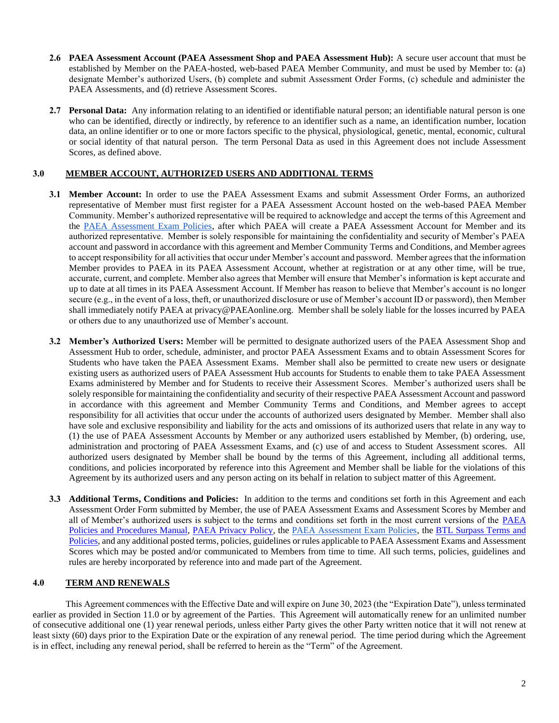- **2.6 PAEA Assessment Account (PAEA Assessment Shop and PAEA Assessment Hub):** A secure user account that must be established by Member on the PAEA-hosted, web-based PAEA Member Community, and must be used by Member to: (a) designate Member's authorized Users, (b) complete and submit Assessment Order Forms, (c) schedule and administer the PAEA Assessments, and (d) retrieve Assessment Scores.
- **2.7 Personal Data:** Any information relating to an identified or identifiable natural person; an identifiable natural person is one who can be identified, directly or indirectly, by reference to an identifier such as a name, an identification number, location data, an online identifier or to one or more factors specific to the physical, physiological, genetic, mental, economic, cultural or social identity of that natural person. The term Personal Data as used in this Agreement does not include Assessment Scores, as defined above.

# **3.0 MEMBER ACCOUNT, AUTHORIZED USERS AND ADDITIONAL TERMS**

- **3.1 Member Account:** In order to use the PAEA Assessment Exams and submit Assessment Order Forms, an authorized representative of Member must first register for a PAEA Assessment Account hosted on the web-based PAEA Member Community. Member's authorized representative will be required to acknowledge and accept the terms of this Agreement and the PAEA [Assessment Exam Policies,](http://paeaonline.org/exampolicies) after which PAEA will create a PAEA Assessment Account for Member and its authorized representative. Member is solely responsible for maintaining the confidentiality and security of Member's PAEA account and password in accordance with this agreement and Member Community Terms and Conditions, and Member agrees to accept responsibility for all activities that occur under Member's account and password. Member agrees that the information Member provides to PAEA in its PAEA Assessment Account, whether at registration or at any other time, will be true, accurate, current, and complete. Member also agrees that Member will ensure that Member's information is kept accurate and up to date at all times in its PAEA Assessment Account. If Member has reason to believe that Member's account is no longer secure (e.g., in the event of a loss, theft, or unauthorized disclosure or use of Member's account ID or password), then Member shall immediately notify PAEA at privacy@PAEAonline.org. Member shall be solely liable for the losses incurred by PAEA or others due to any unauthorized use of Member's account.
- **3.2 Member's Authorized Users:** Member will be permitted to designate authorized users of the PAEA Assessment Shop and Assessment Hub to order, schedule, administer, and proctor PAEA Assessment Exams and to obtain Assessment Scores for Students who have taken the PAEA Assessment Exams. Member shall also be permitted to create new users or designate existing users as authorized users of PAEA Assessment Hub accounts for Students to enable them to take PAEA Assessment Exams administered by Member and for Students to receive their Assessment Scores. Member's authorized users shall be solely responsible for maintaining the confidentiality and security of their respective PAEA Assessment Account and password in accordance with this agreement and Member Community Terms and Conditions, and Member agrees to accept responsibility for all activities that occur under the accounts of authorized users designated by Member. Member shall also have sole and exclusive responsibility and liability for the acts and omissions of its authorized users that relate in any way to (1) the use of PAEA Assessment Accounts by Member or any authorized users established by Member, (b) ordering, use, administration and proctoring of PAEA Assessment Exams, and (c) use of and access to Student Assessment scores. All authorized users designated by Member shall be bound by the terms of this Agreement, including all additional terms, conditions, and policies incorporated by reference into this Agreement and Member shall be liable for the violations of this Agreement by its authorized users and any person acting on its behalf in relation to subject matter of this Agreement.
- **3.3 Additional Terms, Conditions and Policies:** In addition to the terms and conditions set forth in this Agreement and each Assessment Order Form submitted by Member, the use of PAEA Assessment Exams and Assessment Scores by Member and all of Member's authorized users is subject to the terms and conditions set forth in the most current versions of the [PAEA](https://paeaonline.org/wp-content/uploads/2022/01/PP-Manual_07142021.pdf)  [Policies and Procedures Manual,](https://paeaonline.org/wp-content/uploads/2022/01/PP-Manual_07142021.pdf) [PAEA Privacy Policy,](https://paeaonline.org/privacy-policy/) the [PAEA Assessment Exam Policies,](http://paeaonline.org/exampolicies) the [BTL Surpass Terms and](https://surpass.com/terms-and-policies/)  [Policies,](https://surpass.com/terms-and-policies/) and any additional posted terms, policies, guidelines or rules applicable to PAEA Assessment Exams and Assessment Scores which may be posted and/or communicated to Members from time to time. All such terms, policies, guidelines and rules are hereby incorporated by reference into and made part of the Agreement.

### **4.0 TERM AND RENEWALS**

This Agreement commences with the Effective Date and will expire on June 30, 2023 (the "Expiration Date"), unless terminated earlier as provided in Section 11.0 or by agreement of the Parties. This Agreement will automatically renew for an unlimited number of consecutive additional one (1) year renewal periods, unless either Party gives the other Party written notice that it will not renew at least sixty (60) days prior to the Expiration Date or the expiration of any renewal period. The time period during which the Agreement is in effect, including any renewal period, shall be referred to herein as the "Term" of the Agreement.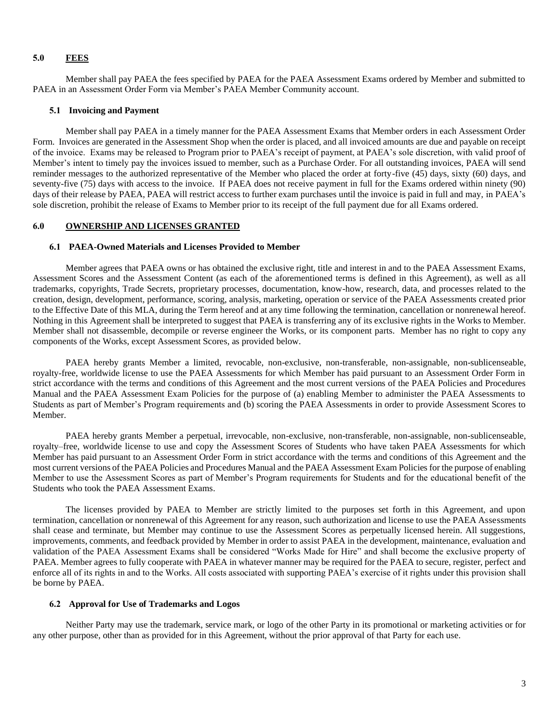#### **5.0 FEES**

Member shall pay PAEA the fees specified by PAEA for the PAEA Assessment Exams ordered by Member and submitted to PAEA in an Assessment Order Form via Member's PAEA Member Community account.

#### **5.1 Invoicing and Payment**

Member shall pay PAEA in a timely manner for the PAEA Assessment Exams that Member orders in each Assessment Order Form. Invoices are generated in the Assessment Shop when the order is placed, and all invoiced amounts are due and payable on receipt of the invoice. Exams may be released to Program prior to PAEA's receipt of payment, at PAEA's sole discretion, with valid proof of Member's intent to timely pay the invoices issued to member, such as a Purchase Order. For all outstanding invoices, PAEA will send reminder messages to the authorized representative of the Member who placed the order at forty-five (45) days, sixty (60) days, and seventy-five (75) days with access to the invoice. If PAEA does not receive payment in full for the Exams ordered within ninety (90) days of their release by PAEA, PAEA will restrict access to further exam purchases until the invoice is paid in full and may, in PAEA's sole discretion, prohibit the release of Exams to Member prior to its receipt of the full payment due for all Exams ordered.

# **6.0 OWNERSHIP AND LICENSES GRANTED**

### **6.1 PAEA-Owned Materials and Licenses Provided to Member**

Member agrees that PAEA owns or has obtained the exclusive right, title and interest in and to the PAEA Assessment Exams, Assessment Scores and the Assessment Content (as each of the aforementioned terms is defined in this Agreement), as well as all trademarks, copyrights, Trade Secrets, proprietary processes, documentation, know-how, research, data, and processes related to the creation, design, development, performance, scoring, analysis, marketing, operation or service of the PAEA Assessments created prior to the Effective Date of this MLA, during the Term hereof and at any time following the termination, cancellation or nonrenewal hereof. Nothing in this Agreement shall be interpreted to suggest that PAEA is transferring any of its exclusive rights in the Works to Member. Member shall not disassemble, decompile or reverse engineer the Works, or its component parts. Member has no right to copy any components of the Works, except Assessment Scores, as provided below.

PAEA hereby grants Member a limited, revocable, non-exclusive, non-transferable, non-assignable, non-sublicenseable, royalty-free, worldwide license to use the PAEA Assessments for which Member has paid pursuant to an Assessment Order Form in strict accordance with the terms and conditions of this Agreement and the most current versions of the PAEA Policies and Procedures Manual and the PAEA Assessment Exam Policies for the purpose of (a) enabling Member to administer the PAEA Assessments to Students as part of Member's Program requirements and (b) scoring the PAEA Assessments in order to provide Assessment Scores to Member.

PAEA hereby grants Member a perpetual, irrevocable, non-exclusive, non-transferable, non-assignable, non-sublicenseable, royalty–free, worldwide license to use and copy the Assessment Scores of Students who have taken PAEA Assessments for which Member has paid pursuant to an Assessment Order Form in strict accordance with the terms and conditions of this Agreement and the most current versions of the PAEA Policies and Procedures Manual and the PAEA Assessment Exam Policies for the purpose of enabling Member to use the Assessment Scores as part of Member's Program requirements for Students and for the educational benefit of the Students who took the PAEA Assessment Exams.

The licenses provided by PAEA to Member are strictly limited to the purposes set forth in this Agreement, and upon termination, cancellation or nonrenewal of this Agreement for any reason, such authorization and license to use the PAEA Assessments shall cease and terminate, but Member may continue to use the Assessment Scores as perpetually licensed herein. All suggestions, improvements, comments, and feedback provided by Member in order to assist PAEA in the development, maintenance, evaluation and validation of the PAEA Assessment Exams shall be considered "Works Made for Hire" and shall become the exclusive property of PAEA. Member agrees to fully cooperate with PAEA in whatever manner may be required for the PAEA to secure, register, perfect and enforce all of its rights in and to the Works. All costs associated with supporting PAEA's exercise of it rights under this provision shall be borne by PAEA.

#### **6.2 Approval for Use of Trademarks and Logos**

Neither Party may use the trademark, service mark, or logo of the other Party in its promotional or marketing activities or for any other purpose, other than as provided for in this Agreement, without the prior approval of that Party for each use.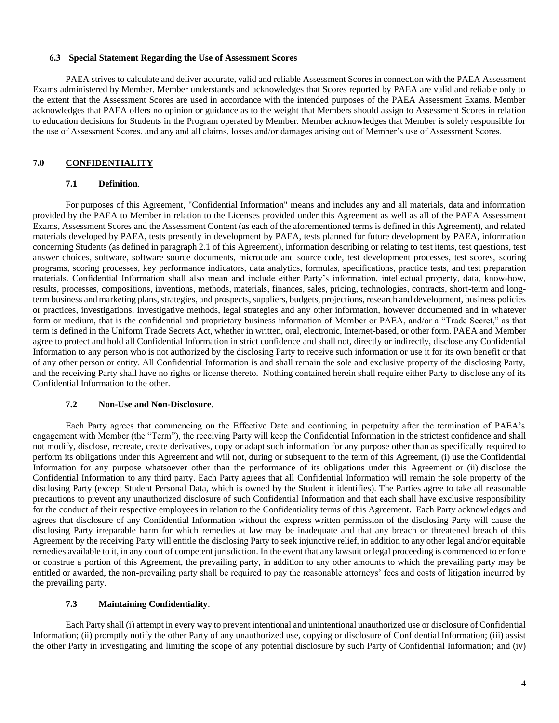#### **6.3 Special Statement Regarding the Use of Assessment Scores**

PAEA strives to calculate and deliver accurate, valid and reliable Assessment Scores in connection with the PAEA Assessment Exams administered by Member. Member understands and acknowledges that Scores reported by PAEA are valid and reliable only to the extent that the Assessment Scores are used in accordance with the intended purposes of the PAEA Assessment Exams. Member acknowledges that PAEA offers no opinion or guidance as to the weight that Members should assign to Assessment Scores in relation to education decisions for Students in the Program operated by Member. Member acknowledges that Member is solely responsible for the use of Assessment Scores, and any and all claims, losses and/or damages arising out of Member's use of Assessment Scores.

### **7.0 CONFIDENTIALITY**

#### **7.1 Definition**.

For purposes of this Agreement, "Confidential Information" means and includes any and all materials, data and information provided by the PAEA to Member in relation to the Licenses provided under this Agreement as well as all of the PAEA Assessment Exams, Assessment Scores and the Assessment Content (as each of the aforementioned terms is defined in this Agreement), and related materials developed by PAEA, tests presently in development by PAEA, tests planned for future development by PAEA, information concerning Students (as defined in paragraph 2.1 of this Agreement), information describing or relating to test items, test questions, test answer choices, software, software source documents, microcode and source code, test development processes, test scores, scoring programs, scoring processes, key performance indicators, data analytics, formulas, specifications, practice tests, and test preparation materials. Confidential Information shall also mean and include either Party's information, intellectual property, data, know-how, results, processes, compositions, inventions, methods, materials, finances, sales, pricing, technologies, contracts, short-term and longterm business and marketing plans, strategies, and prospects, suppliers, budgets, projections, research and development, business policies or practices, investigations, investigative methods, legal strategies and any other information, however documented and in whatever form or medium, that is the confidential and proprietary business information of Member or PAEA, and/or a "Trade Secret," as that term is defined in the Uniform Trade Secrets Act, whether in written, oral, electronic, Internet-based, or other form. PAEA and Member agree to protect and hold all Confidential Information in strict confidence and shall not, directly or indirectly, disclose any Confidential Information to any person who is not authorized by the disclosing Party to receive such information or use it for its own benefit or that of any other person or entity. All Confidential Information is and shall remain the sole and exclusive property of the disclosing Party, and the receiving Party shall have no rights or license thereto. Nothing contained herein shall require either Party to disclose any of its Confidential Information to the other.

### **7.2 Non-Use and Non-Disclosure**.

Each Party agrees that commencing on the Effective Date and continuing in perpetuity after the termination of PAEA's engagement with Member (the "Term"), the receiving Party will keep the Confidential Information in the strictest confidence and shall not modify, disclose, recreate, create derivatives, copy or adapt such information for any purpose other than as specifically required to perform its obligations under this Agreement and will not, during or subsequent to the term of this Agreement, (i) use the Confidential Information for any purpose whatsoever other than the performance of its obligations under this Agreement or (ii) disclose the Confidential Information to any third party. Each Party agrees that all Confidential Information will remain the sole property of the disclosing Party (except Student Personal Data, which is owned by the Student it identifies). The Parties agree to take all reasonable precautions to prevent any unauthorized disclosure of such Confidential Information and that each shall have exclusive responsibility for the conduct of their respective employees in relation to the Confidentiality terms of this Agreement. Each Party acknowledges and agrees that disclosure of any Confidential Information without the express written permission of the disclosing Party will cause the disclosing Party irreparable harm for which remedies at law may be inadequate and that any breach or threatened breach of this Agreement by the receiving Party will entitle the disclosing Party to seek injunctive relief, in addition to any other legal and/or equitable remedies available to it, in any court of competent jurisdiction. In the event that any lawsuit or legal proceeding is commenced to enforce or construe a portion of this Agreement, the prevailing party, in addition to any other amounts to which the prevailing party may be entitled or awarded, the non-prevailing party shall be required to pay the reasonable attorneys' fees and costs of litigation incurred by the prevailing party.

#### **7.3 Maintaining Confidentiality**.

Each Party shall (i) attempt in every way to prevent intentional and unintentional unauthorized use or disclosure of Confidential Information; (ii) promptly notify the other Party of any unauthorized use, copying or disclosure of Confidential Information; (iii) assist the other Party in investigating and limiting the scope of any potential disclosure by such Party of Confidential Information; and (iv)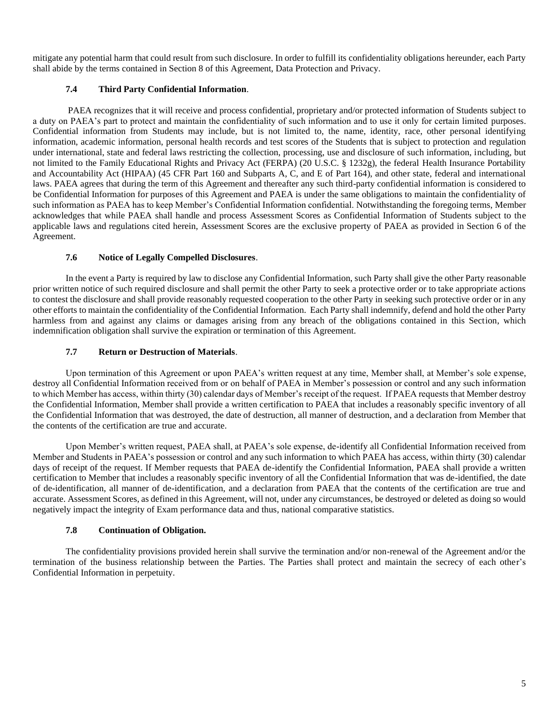mitigate any potential harm that could result from such disclosure. In order to fulfill its confidentiality obligations hereunder, each Party shall abide by the terms contained in Section 8 of this Agreement, Data Protection and Privacy.

### **7.4 Third Party Confidential Information**.

PAEA recognizes that it will receive and process confidential, proprietary and/or protected information of Students subject to a duty on PAEA's part to protect and maintain the confidentiality of such information and to use it only for certain limited purposes. Confidential information from Students may include, but is not limited to, the name, identity, race, other personal identifying information, academic information, personal health records and test scores of the Students that is subject to protection and regulation under international, state and federal laws restricting the collection, processing, use and disclosure of such information, including, but not limited to the Family Educational Rights and Privacy Act (FERPA) (20 U.S.C. § 1232g), the federal Health Insurance Portability and Accountability Act (HIPAA) (45 CFR Part 160 and Subparts A, C, and E of Part 164), and other state, federal and international laws. PAEA agrees that during the term of this Agreement and thereafter any such third-party confidential information is considered to be Confidential Information for purposes of this Agreement and PAEA is under the same obligations to maintain the confidentiality of such information as PAEA has to keep Member's Confidential Information confidential. Notwithstanding the foregoing terms, Member acknowledges that while PAEA shall handle and process Assessment Scores as Confidential Information of Students subject to the applicable laws and regulations cited herein, Assessment Scores are the exclusive property of PAEA as provided in Section 6 of the Agreement.

#### **7.6 Notice of Legally Compelled Disclosures**.

In the event a Party is required by law to disclose any Confidential Information, such Party shall give the other Party reasonable prior written notice of such required disclosure and shall permit the other Party to seek a protective order or to take appropriate actions to contest the disclosure and shall provide reasonably requested cooperation to the other Party in seeking such protective order or in any other efforts to maintain the confidentiality of the Confidential Information. Each Party shall indemnify, defend and hold the other Party harmless from and against any claims or damages arising from any breach of the obligations contained in this Section, which indemnification obligation shall survive the expiration or termination of this Agreement.

#### **7.7 Return or Destruction of Materials**.

Upon termination of this Agreement or upon PAEA's written request at any time, Member shall, at Member's sole expense, destroy all Confidential Information received from or on behalf of PAEA in Member's possession or control and any such information to which Member has access, within thirty (30) calendar days of Member's receipt of the request. If PAEA requests that Member destroy the Confidential Information, Member shall provide a written certification to PAEA that includes a reasonably specific inventory of all the Confidential Information that was destroyed, the date of destruction, all manner of destruction, and a declaration from Member that the contents of the certification are true and accurate.

Upon Member's written request, PAEA shall, at PAEA's sole expense, de-identify all Confidential Information received from Member and Students in PAEA's possession or control and any such information to which PAEA has access, within thirty (30) calendar days of receipt of the request. If Member requests that PAEA de-identify the Confidential Information, PAEA shall provide a written certification to Member that includes a reasonably specific inventory of all the Confidential Information that was de-identified, the date of de-identification, all manner of de-identification, and a declaration from PAEA that the contents of the certification are true and accurate. Assessment Scores, as defined in this Agreement, will not, under any circumstances, be destroyed or deleted as doing so would negatively impact the integrity of Exam performance data and thus, national comparative statistics.

#### **7.8 Continuation of Obligation.**

The confidentiality provisions provided herein shall survive the termination and/or non-renewal of the Agreement and/or the termination of the business relationship between the Parties. The Parties shall protect and maintain the secrecy of each other's Confidential Information in perpetuity.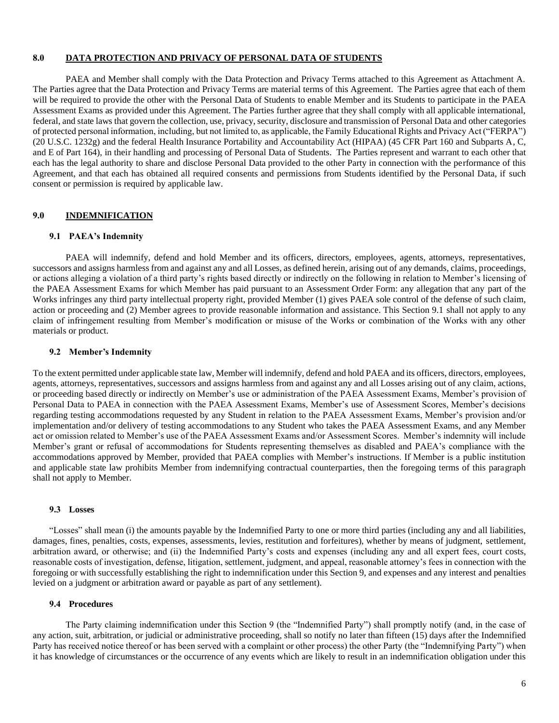#### **8.0 DATA PROTECTION AND PRIVACY OF PERSONAL DATA OF STUDENTS**

PAEA and Member shall comply with the Data Protection and Privacy Terms attached to this Agreement as Attachment A. The Parties agree that the Data Protection and Privacy Terms are material terms of this Agreement. The Parties agree that each of them will be required to provide the other with the Personal Data of Students to enable Member and its Students to participate in the PAEA Assessment Exams as provided under this Agreement. The Parties further agree that they shall comply with all applicable international, federal, and state laws that govern the collection, use, privacy, security, disclosure and transmission of Personal Data and other categories of protected personal information, including, but not limited to, as applicable, the Family Educational Rights and Privacy Act ("FERPA") (20 U.S.C. 1232g) and the federal Health Insurance Portability and Accountability Act (HIPAA) (45 CFR Part 160 and Subparts A, C, and E of Part 164), in their handling and processing of Personal Data of Students. The Parties represent and warrant to each other that each has the legal authority to share and disclose Personal Data provided to the other Party in connection with the performance of this Agreement, and that each has obtained all required consents and permissions from Students identified by the Personal Data, if such consent or permission is required by applicable law.

### **9.0 INDEMNIFICATION**

#### **9.1 PAEA's Indemnity**

PAEA will indemnify, defend and hold Member and its officers, directors, employees, agents, attorneys, representatives, successors and assigns harmless from and against any and all Losses, as defined herein, arising out of any demands, claims, proceedings, or actions alleging a violation of a third party's rights based directly or indirectly on the following in relation to Member's licensing of the PAEA Assessment Exams for which Member has paid pursuant to an Assessment Order Form: any allegation that any part of the Works infringes any third party intellectual property right, provided Member (1) gives PAEA sole control of the defense of such claim, action or proceeding and (2) Member agrees to provide reasonable information and assistance. This Section 9.1 shall not apply to any claim of infringement resulting from Member's modification or misuse of the Works or combination of the Works with any other materials or product.

#### **9.2 Member's Indemnity**

To the extent permitted under applicable state law, Member will indemnify, defend and hold PAEA and its officers, directors, employees, agents, attorneys, representatives, successors and assigns harmless from and against any and all Losses arising out of any claim, actions, or proceeding based directly or indirectly on Member's use or administration of the PAEA Assessment Exams, Member's provision of Personal Data to PAEA in connection with the PAEA Assessment Exams, Member's use of Assessment Scores, Member's decisions regarding testing accommodations requested by any Student in relation to the PAEA Assessment Exams, Member's provision and/or implementation and/or delivery of testing accommodations to any Student who takes the PAEA Assessment Exams, and any Member act or omission related to Member's use of the PAEA Assessment Exams and/or Assessment Scores. Member's indemnity will include Member's grant or refusal of accommodations for Students representing themselves as disabled and PAEA's compliance with the accommodations approved by Member, provided that PAEA complies with Member's instructions. If Member is a public institution and applicable state law prohibits Member from indemnifying contractual counterparties, then the foregoing terms of this paragraph shall not apply to Member.

### **9.3 Losses**

"Losses" shall mean (i) the amounts payable by the Indemnified Party to one or more third parties (including any and all liabilities, damages, fines, penalties, costs, expenses, assessments, levies, restitution and forfeitures), whether by means of judgment, settlement, arbitration award, or otherwise; and (ii) the Indemnified Party's costs and expenses (including any and all expert fees, court costs, reasonable costs of investigation, defense, litigation, settlement, judgment, and appeal, reasonable attorney's fees in connection with the foregoing or with successfully establishing the right to indemnification under this Section 9, and expenses and any interest and penalties levied on a judgment or arbitration award or payable as part of any settlement).

#### **9.4 Procedures**

The Party claiming indemnification under this Section 9 (the "Indemnified Party") shall promptly notify (and, in the case of any action, suit, arbitration, or judicial or administrative proceeding, shall so notify no later than fifteen (15) days after the Indemnified Party has received notice thereof or has been served with a complaint or other process) the other Party (the "Indemnifying Party") when it has knowledge of circumstances or the occurrence of any events which are likely to result in an indemnification obligation under this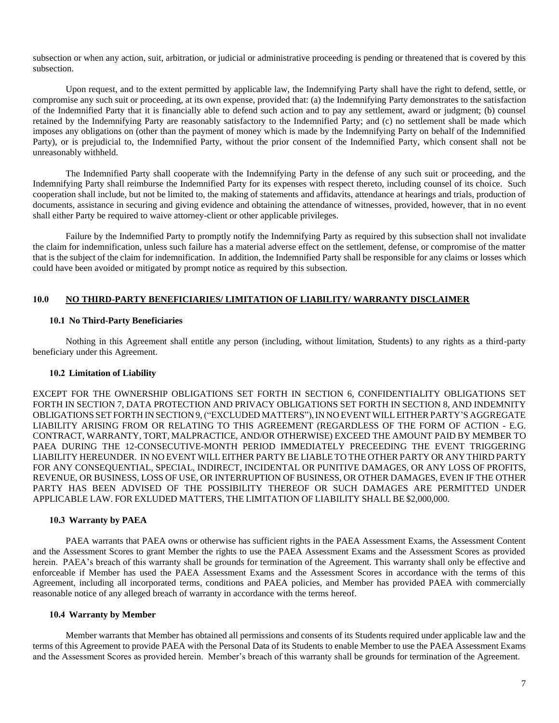subsection or when any action, suit, arbitration, or judicial or administrative proceeding is pending or threatened that is covered by this subsection.

Upon request, and to the extent permitted by applicable law, the Indemnifying Party shall have the right to defend, settle, or compromise any such suit or proceeding, at its own expense, provided that: (a) the Indemnifying Party demonstrates to the satisfaction of the Indemnified Party that it is financially able to defend such action and to pay any settlement, award or judgment; (b) counsel retained by the Indemnifying Party are reasonably satisfactory to the Indemnified Party; and (c) no settlement shall be made which imposes any obligations on (other than the payment of money which is made by the Indemnifying Party on behalf of the Indemnified Party), or is prejudicial to, the Indemnified Party, without the prior consent of the Indemnified Party, which consent shall not be unreasonably withheld.

The Indemnified Party shall cooperate with the Indemnifying Party in the defense of any such suit or proceeding, and the Indemnifying Party shall reimburse the Indemnified Party for its expenses with respect thereto, including counsel of its choice. Such cooperation shall include, but not be limited to, the making of statements and affidavits, attendance at hearings and trials, production of documents, assistance in securing and giving evidence and obtaining the attendance of witnesses, provided, however, that in no event shall either Party be required to waive attorney-client or other applicable privileges.

Failure by the Indemnified Party to promptly notify the Indemnifying Party as required by this subsection shall not invalidate the claim for indemnification, unless such failure has a material adverse effect on the settlement, defense, or compromise of the matter that is the subject of the claim for indemnification. In addition, the Indemnified Party shall be responsible for any claims or losses which could have been avoided or mitigated by prompt notice as required by this subsection.

#### **10.0 NO THIRD-PARTY BENEFICIARIES/ LIMITATION OF LIABILITY/ WARRANTY DISCLAIMER**

#### **10.1 No Third-Party Beneficiaries**

Nothing in this Agreement shall entitle any person (including, without limitation, Students) to any rights as a third-party beneficiary under this Agreement.

#### **10.2 Limitation of Liability**

EXCEPT FOR THE OWNERSHIP OBLIGATIONS SET FORTH IN SECTION 6, CONFIDENTIALITY OBLIGATIONS SET FORTH IN SECTION 7, DATA PROTECTION AND PRIVACY OBLIGATIONS SET FORTH IN SECTION 8, AND INDEMNITY OBLIGATIONS SET FORTH IN SECTION 9, ("EXCLUDED MATTERS"), IN NO EVENT WILL EITHER PARTY'S AGGREGATE LIABILITY ARISING FROM OR RELATING TO THIS AGREEMENT (REGARDLESS OF THE FORM OF ACTION - E.G. CONTRACT, WARRANTY, TORT, MALPRACTICE, AND/OR OTHERWISE) EXCEED THE AMOUNT PAID BY MEMBER TO PAEA DURING THE 12-CONSECUTIVE-MONTH PERIOD IMMEDIATELY PRECEEDING THE EVENT TRIGGERING LIABILITY HEREUNDER. IN NO EVENT WILL EITHER PARTY BE LIABLE TO THE OTHER PARTY OR ANY THIRD PARTY FOR ANY CONSEQUENTIAL, SPECIAL, INDIRECT, INCIDENTAL OR PUNITIVE DAMAGES, OR ANY LOSS OF PROFITS, REVENUE, OR BUSINESS, LOSS OF USE, OR INTERRUPTION OF BUSINESS, OR OTHER DAMAGES, EVEN IF THE OTHER PARTY HAS BEEN ADVISED OF THE POSSIBILITY THEREOF OR SUCH DAMAGES ARE PERMITTED UNDER APPLICABLE LAW.FOR EXLUDED MATTERS, THE LIMITATION OF LIABILITY SHALL BE \$2,000,000.

#### **10.3 Warranty by PAEA**

PAEA warrants that PAEA owns or otherwise has sufficient rights in the PAEA Assessment Exams, the Assessment Content and the Assessment Scores to grant Member the rights to use the PAEA Assessment Exams and the Assessment Scores as provided herein. PAEA's breach of this warranty shall be grounds for termination of the Agreement. This warranty shall only be effective and enforceable if Member has used the PAEA Assessment Exams and the Assessment Scores in accordance with the terms of this Agreement, including all incorporated terms, conditions and PAEA policies, and Member has provided PAEA with commercially reasonable notice of any alleged breach of warranty in accordance with the terms hereof.

#### **10.4 Warranty by Member**

Member warrants that Member has obtained all permissions and consents of its Students required under applicable law and the terms of this Agreement to provide PAEA with the Personal Data of its Students to enable Member to use the PAEA Assessment Exams and the Assessment Scores as provided herein. Member's breach of this warranty shall be grounds for termination of the Agreement.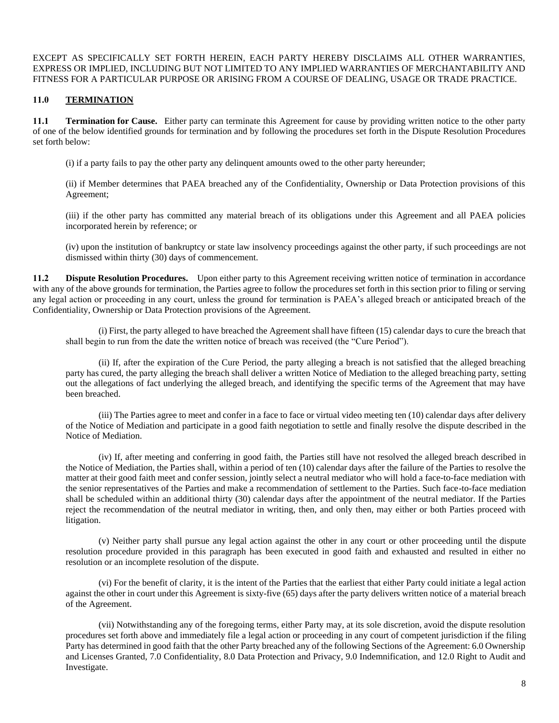EXCEPT AS SPECIFICALLY SET FORTH HEREIN, EACH PARTY HEREBY DISCLAIMS ALL OTHER WARRANTIES, EXPRESS OR IMPLIED, INCLUDING BUT NOT LIMITED TO ANY IMPLIED WARRANTIES OF MERCHANTABILITY AND FITNESS FOR A PARTICULAR PURPOSE OR ARISING FROM A COURSE OF DEALING, USAGE OR TRADE PRACTICE.

### **11.0 TERMINATION**

**11.1 Termination for Cause.** Either party can terminate this Agreement for cause by providing written notice to the other party of one of the below identified grounds for termination and by following the procedures set forth in the Dispute Resolution Procedures set forth below:

(i) if a party fails to pay the other party any delinquent amounts owed to the other party hereunder;

(ii) if Member determines that PAEA breached any of the Confidentiality, Ownership or Data Protection provisions of this Agreement;

(iii) if the other party has committed any material breach of its obligations under this Agreement and all PAEA policies incorporated herein by reference; or

(iv) upon the institution of bankruptcy or state law insolvency proceedings against the other party, if such proceedings are not dismissed within thirty (30) days of commencement.

**11.2 Dispute Resolution Procedures.** Upon either party to this Agreement receiving written notice of termination in accordance with any of the above grounds for termination, the Parties agree to follow the procedures set forth in this section prior to filing or serving any legal action or proceeding in any court, unless the ground for termination is PAEA's alleged breach or anticipated breach of the Confidentiality, Ownership or Data Protection provisions of the Agreement.

(i) First, the party alleged to have breached the Agreement shall have fifteen (15) calendar days to cure the breach that shall begin to run from the date the written notice of breach was received (the "Cure Period").

(ii) If, after the expiration of the Cure Period, the party alleging a breach is not satisfied that the alleged breaching party has cured, the party alleging the breach shall deliver a written Notice of Mediation to the alleged breaching party, setting out the allegations of fact underlying the alleged breach, and identifying the specific terms of the Agreement that may have been breached.

(iii) The Parties agree to meet and confer in a face to face or virtual video meeting ten (10) calendar days after delivery of the Notice of Mediation and participate in a good faith negotiation to settle and finally resolve the dispute described in the Notice of Mediation.

(iv) If, after meeting and conferring in good faith, the Parties still have not resolved the alleged breach described in the Notice of Mediation, the Parties shall, within a period of ten (10) calendar days after the failure of the Parties to resolve the matter at their good faith meet and confer session, jointly select a neutral mediator who will hold a face-to-face mediation with the senior representatives of the Parties and make a recommendation of settlement to the Parties. Such face-to-face mediation shall be scheduled within an additional thirty (30) calendar days after the appointment of the neutral mediator. If the Parties reject the recommendation of the neutral mediator in writing, then, and only then, may either or both Parties proceed with litigation.

(v) Neither party shall pursue any legal action against the other in any court or other proceeding until the dispute resolution procedure provided in this paragraph has been executed in good faith and exhausted and resulted in either no resolution or an incomplete resolution of the dispute.

(vi) For the benefit of clarity, it is the intent of the Parties that the earliest that either Party could initiate a legal action against the other in court under this Agreement is sixty-five (65) days after the party delivers written notice of a material breach of the Agreement.

(vii) Notwithstanding any of the foregoing terms, either Party may, at its sole discretion, avoid the dispute resolution procedures set forth above and immediately file a legal action or proceeding in any court of competent jurisdiction if the filing Party has determined in good faith that the other Party breached any of the following Sections of the Agreement: 6.0 Ownership and Licenses Granted, 7.0 Confidentiality, 8.0 Data Protection and Privacy, 9.0 Indemnification, and 12.0 Right to Audit and Investigate.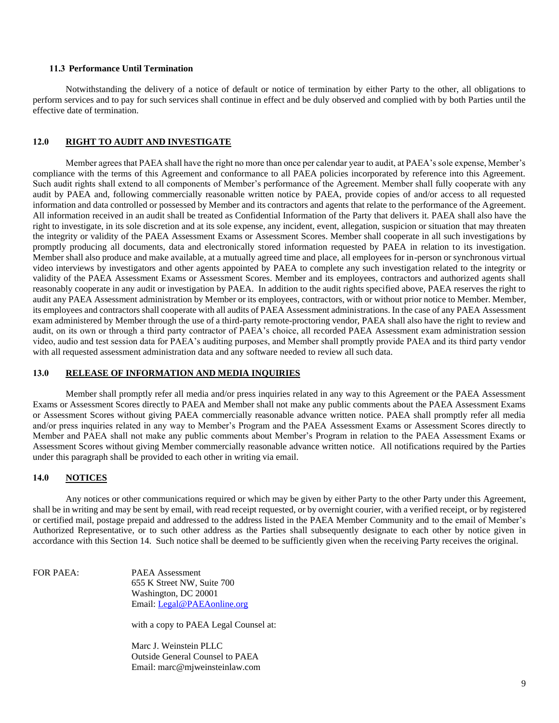#### **11.3 Performance Until Termination**

Notwithstanding the delivery of a notice of default or notice of termination by either Party to the other, all obligations to perform services and to pay for such services shall continue in effect and be duly observed and complied with by both Parties until the effective date of termination.

#### **12.0 RIGHT TO AUDIT AND INVESTIGATE**

Member agrees that PAEA shall have the right no more than once per calendar year to audit, at PAEA's sole expense, Member's compliance with the terms of this Agreement and conformance to all PAEA policies incorporated by reference into this Agreement. Such audit rights shall extend to all components of Member's performance of the Agreement. Member shall fully cooperate with any audit by PAEA and, following commercially reasonable written notice by PAEA, provide copies of and/or access to all requested information and data controlled or possessed by Member and its contractors and agents that relate to the performance of the Agreement. All information received in an audit shall be treated as Confidential Information of the Party that delivers it. PAEA shall also have the right to investigate, in its sole discretion and at its sole expense, any incident, event, allegation, suspicion or situation that may threaten the integrity or validity of the PAEA Assessment Exams or Assessment Scores. Member shall cooperate in all such investigations by promptly producing all documents, data and electronically stored information requested by PAEA in relation to its investigation. Member shall also produce and make available, at a mutually agreed time and place, all employees for in-person or synchronous virtual video interviews by investigators and other agents appointed by PAEA to complete any such investigation related to the integrity or validity of the PAEA Assessment Exams or Assessment Scores. Member and its employees, contractors and authorized agents shall reasonably cooperate in any audit or investigation by PAEA. In addition to the audit rights specified above, PAEA reserves the right to audit any PAEA Assessment administration by Member or its employees, contractors, with or without prior notice to Member. Member, its employees and contractors shall cooperate with all audits of PAEA Assessment administrations. In the case of any PAEA Assessment exam administered by Member through the use of a third-party remote-proctoring vendor, PAEA shall also have the right to review and audit, on its own or through a third party contractor of PAEA's choice, all recorded PAEA Assessment exam administration session video, audio and test session data for PAEA's auditing purposes, and Member shall promptly provide PAEA and its third party vendor with all requested assessment administration data and any software needed to review all such data.

### **13.0 RELEASE OF INFORMATION AND MEDIA INQUIRIES**

Member shall promptly refer all media and/or press inquiries related in any way to this Agreement or the PAEA Assessment Exams or Assessment Scores directly to PAEA and Member shall not make any public comments about the PAEA Assessment Exams or Assessment Scores without giving PAEA commercially reasonable advance written notice. PAEA shall promptly refer all media and/or press inquiries related in any way to Member's Program and the PAEA Assessment Exams or Assessment Scores directly to Member and PAEA shall not make any public comments about Member's Program in relation to the PAEA Assessment Exams or Assessment Scores without giving Member commercially reasonable advance written notice. All notifications required by the Parties under this paragraph shall be provided to each other in writing via email.

#### **14.0 NOTICES**

Any notices or other communications required or which may be given by either Party to the other Party under this Agreement, shall be in writing and may be sent by email, with read receipt requested, or by overnight courier, with a verified receipt, or by registered or certified mail, postage prepaid and addressed to the address listed in the PAEA Member Community and to the email of Member's Authorized Representative, or to such other address as the Parties shall subsequently designate to each other by notice given in accordance with this Section 14. Such notice shall be deemed to be sufficiently given when the receiving Party receives the original.

FOR PAEA: PAEA Assessment 655 K Street NW, Suite 700 Washington, DC 20001 Email: [Legal@PAEAonline.org](mailto:legal@PAEAonline.org)

with a copy to PAEA Legal Counsel at:

Marc J. Weinstein PLLC Outside General Counsel to PAEA Email: marc@mjweinsteinlaw.com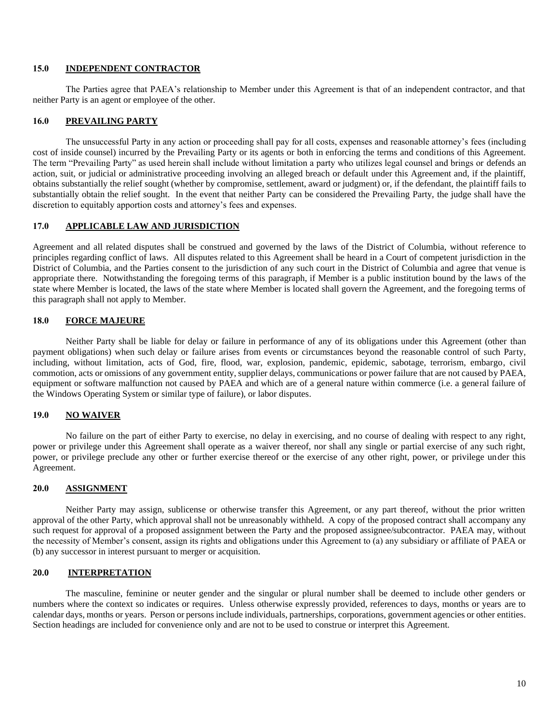#### **15.0 INDEPENDENT CONTRACTOR**

The Parties agree that PAEA's relationship to Member under this Agreement is that of an independent contractor, and that neither Party is an agent or employee of the other.

### **16.0 PREVAILING PARTY**

The unsuccessful Party in any action or proceeding shall pay for all costs, expenses and reasonable attorney's fees (including cost of inside counsel) incurred by the Prevailing Party or its agents or both in enforcing the terms and conditions of this Agreement. The term "Prevailing Party" as used herein shall include without limitation a party who utilizes legal counsel and brings or defends an action, suit, or judicial or administrative proceeding involving an alleged breach or default under this Agreement and, if the plaintiff, obtains substantially the relief sought (whether by compromise, settlement, award or judgment) or, if the defendant, the plaintiff fails to substantially obtain the relief sought. In the event that neither Party can be considered the Prevailing Party, the judge shall have the discretion to equitably apportion costs and attorney's fees and expenses.

# **17.0 APPLICABLE LAW AND JURISDICTION**

Agreement and all related disputes shall be construed and governed by the laws of the District of Columbia, without reference to principles regarding conflict of laws. All disputes related to this Agreement shall be heard in a Court of competent jurisdiction in the District of Columbia, and the Parties consent to the jurisdiction of any such court in the District of Columbia and agree that venue is appropriate there. Notwithstanding the foregoing terms of this paragraph, if Member is a public institution bound by the laws of the state where Member is located, the laws of the state where Member is located shall govern the Agreement, and the foregoing terms of this paragraph shall not apply to Member.

#### **18.0 FORCE MAJEURE**

Neither Party shall be liable for delay or failure in performance of any of its obligations under this Agreement (other than payment obligations) when such delay or failure arises from events or circumstances beyond the reasonable control of such Party, including, without limitation, acts of God, fire, flood, war, explosion, pandemic, epidemic, sabotage, terrorism, embargo, civil commotion, acts or omissions of any government entity, supplier delays, communications or power failure that are not caused by PAEA, equipment or software malfunction not caused by PAEA and which are of a general nature within commerce (i.e. a general failure of the Windows Operating System or similar type of failure), or labor disputes.

### **19.0 NO WAIVER**

No failure on the part of either Party to exercise, no delay in exercising, and no course of dealing with respect to any right, power or privilege under this Agreement shall operate as a waiver thereof, nor shall any single or partial exercise of any such right, power, or privilege preclude any other or further exercise thereof or the exercise of any other right, power, or privilege under this Agreement.

#### **20.0 ASSIGNMENT**

Neither Party may assign, sublicense or otherwise transfer this Agreement, or any part thereof, without the prior written approval of the other Party, which approval shall not be unreasonably withheld. A copy of the proposed contract shall accompany any such request for approval of a proposed assignment between the Party and the proposed assignee/subcontractor. PAEA may, without the necessity of Member's consent, assign its rights and obligations under this Agreement to (a) any subsidiary or affiliate of PAEA or (b) any successor in interest pursuant to merger or acquisition.

# **20.0 INTERPRETATION**

The masculine, feminine or neuter gender and the singular or plural number shall be deemed to include other genders or numbers where the context so indicates or requires. Unless otherwise expressly provided, references to days, months or years are to calendar days, months or years. Person or persons include individuals, partnerships, corporations, government agencies or other entities. Section headings are included for convenience only and are not to be used to construe or interpret this Agreement.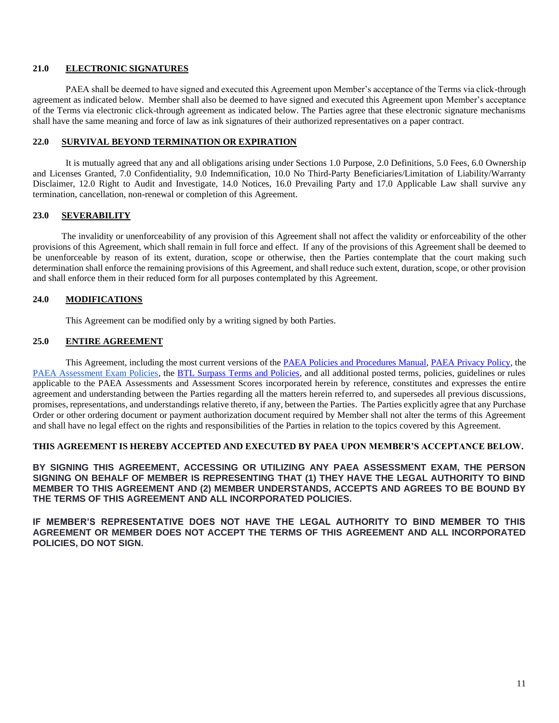### **21.0 ELECTRONIC SIGNATURES**

PAEA shall be deemed to have signed and executed this Agreement upon Member's acceptance of the Terms via click-through agreement as indicated below. Member shall also be deemed to have signed and executed this Agreement upon Member's acceptance of the Terms via electronic click-through agreement as indicated below. The Parties agree that these electronic signature mechanisms shall have the same meaning and force of law as ink signatures of their authorized representatives on a paper contract.

### **22.0 SURVIVAL BEYOND TERMINATION OR EXPIRATION**

It is mutually agreed that any and all obligations arising under Sections 1.0 Purpose, 2.0 Definitions, 5.0 Fees, 6.0 Ownership and Licenses Granted, 7.0 Confidentiality, 9.0 Indemnification, 10.0 No Third-Party Beneficiaries/Limitation of Liability/Warranty Disclaimer, 12.0 Right to Audit and Investigate, 14.0 Notices, 16.0 Prevailing Party and 17.0 Applicable Law shall survive any termination, cancellation, non-renewal or completion of this Agreement.

# **23.0 SEVERABILITY**

The invalidity or unenforceability of any provision of this Agreement shall not affect the validity or enforceability of the other provisions of this Agreement, which shall remain in full force and effect. If any of the provisions of this Agreement shall be deemed to be unenforceable by reason of its extent, duration, scope or otherwise, then the Parties contemplate that the court making such determination shall enforce the remaining provisions of this Agreement, and shall reduce such extent, duration, scope, or other provision and shall enforce them in their reduced form for all purposes contemplated by this Agreement.

# **24.0 MODIFICATIONS**

This Agreement can be modified only by a writing signed by both Parties.

# **25.0 ENTIRE AGREEMENT**

This Agreement, including the most current versions of the [PAEA Policies and Procedures Manual,](https://paeaonline.org/wp-content/uploads/2022/01/PP-Manual_07142021.pdf) [PAEA Privacy Policy,](https://paeaonline.org/privacy-policy/) the [PAEA Assessment Exam Policies,](http://paeaonline.org/exampolicies) the [BTL Surpass Terms and Policies,](https://surpass.com/terms-and-policies/) and all additional posted terms, policies, guidelines or rules applicable to the PAEA Assessments and Assessment Scores incorporated herein by reference, constitutes and expresses the entire agreement and understanding between the Parties regarding all the matters herein referred to, and supersedes all previous discussions, promises, representations, and understandings relative thereto, if any, between the Parties. The Parties explicitly agree that any Purchase Order or other ordering document or payment authorization document required by Member shall not alter the terms of this Agreement and shall have no legal effect on the rights and responsibilities of the Parties in relation to the topics covered by this Agreement.

# **THIS AGREEMENT IS HEREBY ACCEPTED AND EXECUTED BY PAEA UPON MEMBER'S ACCEPTANCE BELOW.**

**BY SIGNING THIS AGREEMENT, ACCESSING OR UTILIZING ANY PAEA ASSESSMENT EXAM, THE PERSON SIGNING ON BEHALF OF MEMBER IS REPRESENTING THAT (1) THEY HAVE THE LEGAL AUTHORITY TO BIND MEMBER TO THIS AGREEMENT AND (2) MEMBER UNDERSTANDS, ACCEPTS AND AGREES TO BE BOUND BY THE TERMS OF THIS AGREEMENT AND ALL INCORPORATED POLICIES.**

**IF MEMBER'S REPRESENTATIVE DOES NOT HAVE THE LEGAL AUTHORITY TO BIND MEMBER TO THIS AGREEMENT OR MEMBER DOES NOT ACCEPT THE TERMS OF THIS AGREEMENT AND ALL INCORPORATED POLICIES, DO NOT SIGN.**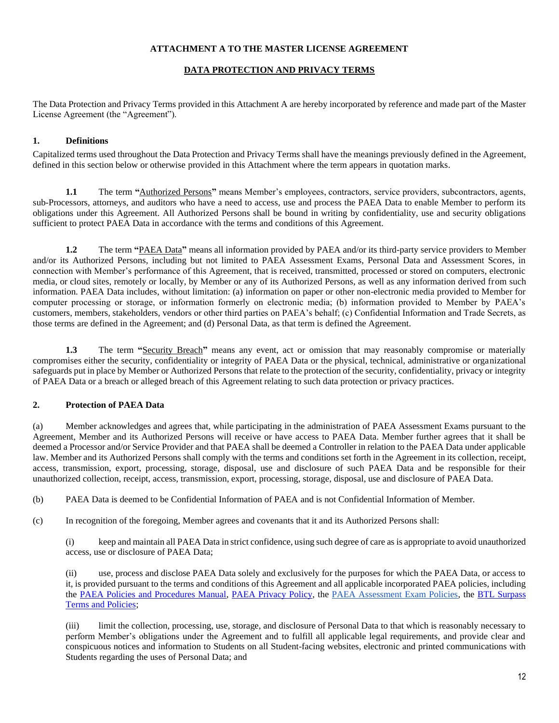### **ATTACHMENT A TO THE MASTER LICENSE AGREEMENT**

# **DATA PROTECTION AND PRIVACY TERMS**

The Data Protection and Privacy Terms provided in this Attachment A are hereby incorporated by reference and made part of the Master License Agreement (the "Agreement").

## **1. Definitions**

Capitalized terms used throughout the Data Protection and Privacy Terms shall have the meanings previously defined in the Agreement, defined in this section below or otherwise provided in this Attachment where the term appears in quotation marks.

**1.1** The term **"**Authorized Persons**"** means Member's employees, contractors, service providers, subcontractors, agents, sub-Processors, attorneys, and auditors who have a need to access, use and process the PAEA Data to enable Member to perform its obligations under this Agreement. All Authorized Persons shall be bound in writing by confidentiality, use and security obligations sufficient to protect PAEA Data in accordance with the terms and conditions of this Agreement.

**1.2** The term **"**PAEA Data**"** means all information provided by PAEA and/or its third-party service providers to Member and/or its Authorized Persons, including but not limited to PAEA Assessment Exams, Personal Data and Assessment Scores, in connection with Member's performance of this Agreement, that is received, transmitted, processed or stored on computers, electronic media, or cloud sites, remotely or locally, by Member or any of its Authorized Persons, as well as any information derived from such information. PAEA Data includes, without limitation: (a) information on paper or other non-electronic media provided to Member for computer processing or storage, or information formerly on electronic media; (b) information provided to Member by PAEA's customers, members, stakeholders, vendors or other third parties on PAEA's behalf; (c) Confidential Information and Trade Secrets, as those terms are defined in the Agreement; and (d) Personal Data, as that term is defined the Agreement.

**1.3** The term "Security Breach" means any event, act or omission that may reasonably compromise or materially compromises either the security, confidentiality or integrity of PAEA Data or the physical, technical, administrative or organizational safeguards put in place by Member or Authorized Persons that relate to the protection of the security, confidentiality, privacy or integrity of PAEA Data or a breach or alleged breach of this Agreement relating to such data protection or privacy practices.

### **2. Protection of PAEA Data**

(a) Member acknowledges and agrees that, while participating in the administration of PAEA Assessment Exams pursuant to the Agreement, Member and its Authorized Persons will receive or have access to PAEA Data. Member further agrees that it shall be deemed a Processor and/or Service Provider and that PAEA shall be deemed a Controller in relation to the PAEA Data under applicable law. Member and its Authorized Persons shall comply with the terms and conditions set forth in the Agreement in its collection, receipt, access, transmission, export, processing, storage, disposal, use and disclosure of such PAEA Data and be responsible for their unauthorized collection, receipt, access, transmission, export, processing, storage, disposal, use and disclosure of PAEA Data.

(b) PAEA Data is deemed to be Confidential Information of PAEA and is not Confidential Information of Member.

(c) In recognition of the foregoing, Member agrees and covenants that it and its Authorized Persons shall:

(i) keep and maintain all PAEA Data in strict confidence, using such degree of care as is appropriate to avoid unauthorized access, use or disclosure of PAEA Data;

(ii) use, process and disclose PAEA Data solely and exclusively for the purposes for which the PAEA Data, or access to it, is provided pursuant to the terms and conditions of this Agreement and all applicable incorporated PAEA policies, including the [PAEA Policies and Procedures Manual,](https://paeaonline.org/wp-content/uploads/2022/01/PP-Manual_07142021.pdf) [PAEA Privacy Policy,](https://paeaonline.org/privacy-policy/) the [PAEA Assessment Exam Policies,](http://paeaonline.org/exampolicies) the [BTL Surpass](https://surpass.com/terms-and-policies/)  [Terms and Policies;](https://surpass.com/terms-and-policies/)

(iii) limit the collection, processing, use, storage, and disclosure of Personal Data to that which is reasonably necessary to perform Member's obligations under the Agreement and to fulfill all applicable legal requirements, and provide clear and conspicuous notices and information to Students on all Student-facing websites, electronic and printed communications with Students regarding the uses of Personal Data; and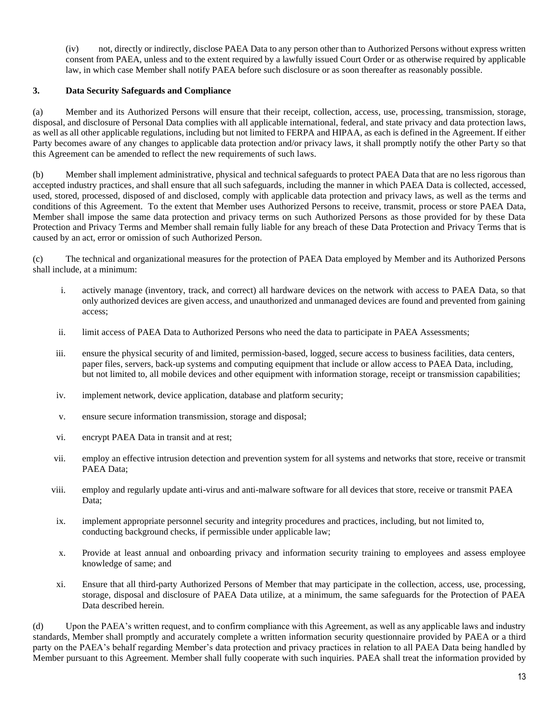(iv) not, directly or indirectly, disclose PAEA Data to any person other than to Authorized Persons without express written consent from PAEA, unless and to the extent required by a lawfully issued Court Order or as otherwise required by applicable law, in which case Member shall notify PAEA before such disclosure or as soon thereafter as reasonably possible.

# **3. Data Security Safeguards and Compliance**

(a) Member and its Authorized Persons will ensure that their receipt, collection, access, use, processing, transmission, storage, disposal, and disclosure of Personal Data complies with all applicable international, federal, and state privacy and data protection laws, as well as all other applicable regulations, including but not limited to FERPA and HIPAA, as each is defined in the Agreement. If either Party becomes aware of any changes to applicable data protection and/or privacy laws, it shall promptly notify the other Party so that this Agreement can be amended to reflect the new requirements of such laws.

(b) Member shall implement administrative, physical and technical safeguards to protect PAEA Data that are no less rigorous than accepted industry practices, and shall ensure that all such safeguards, including the manner in which PAEA Data is collected, accessed, used, stored, processed, disposed of and disclosed, comply with applicable data protection and privacy laws, as well as the terms and conditions of this Agreement. To the extent that Member uses Authorized Persons to receive, transmit, process or store PAEA Data, Member shall impose the same data protection and privacy terms on such Authorized Persons as those provided for by these Data Protection and Privacy Terms and Member shall remain fully liable for any breach of these Data Protection and Privacy Terms that is caused by an act, error or omission of such Authorized Person.

(c) The technical and organizational measures for the protection of PAEA Data employed by Member and its Authorized Persons shall include, at a minimum:

- i. actively manage (inventory, track, and correct) all hardware devices on the network with access to PAEA Data, so that only authorized devices are given access, and unauthorized and unmanaged devices are found and prevented from gaining access;
- ii. limit access of PAEA Data to Authorized Persons who need the data to participate in PAEA Assessments;
- iii. ensure the physical security of and limited, permission-based, logged, secure access to business facilities, data centers, paper files, servers, back-up systems and computing equipment that include or allow access to PAEA Data, including, but not limited to, all mobile devices and other equipment with information storage, receipt or transmission capabilities;
- iv. implement network, device application, database and platform security;
- v. ensure secure information transmission, storage and disposal;
- vi. encrypt PAEA Data in transit and at rest;
- vii. employ an effective intrusion detection and prevention system for all systems and networks that store, receive or transmit PAEA Data;
- viii. employ and regularly update anti-virus and anti-malware software for all devices that store, receive or transmit PAEA Data:
- ix. implement appropriate personnel security and integrity procedures and practices, including, but not limited to, conducting background checks, if permissible under applicable law;
- x. Provide at least annual and onboarding privacy and information security training to employees and assess employee knowledge of same; and
- xi. Ensure that all third-party Authorized Persons of Member that may participate in the collection, access, use, processing, storage, disposal and disclosure of PAEA Data utilize, at a minimum, the same safeguards for the Protection of PAEA Data described herein.

(d) Upon the PAEA's written request, and to confirm compliance with this Agreement, as well as any applicable laws and industry standards, Member shall promptly and accurately complete a written information security questionnaire provided by PAEA or a third party on the PAEA's behalf regarding Member's data protection and privacy practices in relation to all PAEA Data being handled by Member pursuant to this Agreement. Member shall fully cooperate with such inquiries. PAEA shall treat the information provided by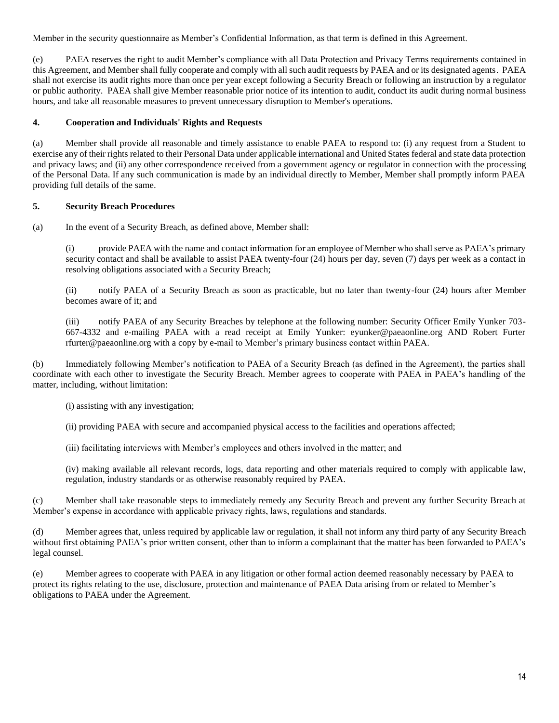Member in the security questionnaire as Member's Confidential Information, as that term is defined in this Agreement.

(e) PAEA reserves the right to audit Member's compliance with all Data Protection and Privacy Terms requirements contained in this Agreement, and Member shall fully cooperate and comply with all such audit requests by PAEA and or its designated agents. PAEA shall not exercise its audit rights more than once per year except following a Security Breach or following an instruction by a regulator or public authority. PAEA shall give Member reasonable prior notice of its intention to audit, conduct its audit during normal business hours, and take all reasonable measures to prevent unnecessary disruption to Member's operations.

### **4. Cooperation and Individuals' Rights and Requests**

(a) Member shall provide all reasonable and timely assistance to enable PAEA to respond to: (i) any request from a Student to exercise any of their rights related to their Personal Data under applicable international and United States federal and state data protection and privacy laws; and (ii) any other correspondence received from a government agency or regulator in connection with the processing of the Personal Data. If any such communication is made by an individual directly to Member, Member shall promptly inform PAEA providing full details of the same.

# **5. Security Breach Procedures**

(a) In the event of a Security Breach, as defined above, Member shall:

(i) provide PAEA with the name and contact information for an employee of Member who shall serve as PAEA's primary security contact and shall be available to assist PAEA twenty-four (24) hours per day, seven (7) days per week as a contact in resolving obligations associated with a Security Breach;

(ii) notify PAEA of a Security Breach as soon as practicable, but no later than twenty-four (24) hours after Member becomes aware of it; and

(iii) notify PAEA of any Security Breaches by telephone at the following number: Security Officer Emily Yunker 703- 667-4332 and e-mailing PAEA with a read receipt at Emily Yunker: eyunker@paeaonline.org AND Robert Furter rfurter@paeaonline.org with a copy by e-mail to Member's primary business contact within PAEA.

(b) Immediately following Member's notification to PAEA of a Security Breach (as defined in the Agreement), the parties shall coordinate with each other to investigate the Security Breach. Member agrees to cooperate with PAEA in PAEA's handling of the matter, including, without limitation:

(i) assisting with any investigation;

(ii) providing PAEA with secure and accompanied physical access to the facilities and operations affected;

(iii) facilitating interviews with Member's employees and others involved in the matter; and

(iv) making available all relevant records, logs, data reporting and other materials required to comply with applicable law, regulation, industry standards or as otherwise reasonably required by PAEA.

(c) Member shall take reasonable steps to immediately remedy any Security Breach and prevent any further Security Breach at Member's expense in accordance with applicable privacy rights, laws, regulations and standards.

(d) Member agrees that, unless required by applicable law or regulation, it shall not inform any third party of any Security Breach without first obtaining PAEA's prior written consent, other than to inform a complainant that the matter has been forwarded to PAEA's legal counsel.

(e) Member agrees to cooperate with PAEA in any litigation or other formal action deemed reasonably necessary by PAEA to protect its rights relating to the use, disclosure, protection and maintenance of PAEA Data arising from or related to Member's obligations to PAEA under the Agreement.